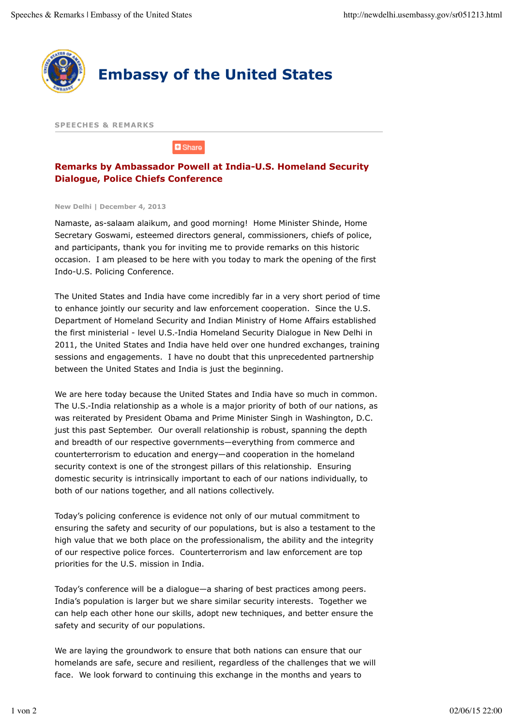

**SPEECHES & REMARKS**

**D** Share

## **Remarks by Ambassador Powell at India-U.S. Homeland Security Dialogue, Police Chiefs Conference**

**New Delhi | December 4, 2013**

Namaste, as-salaam alaikum, and good morning! Home Minister Shinde, Home Secretary Goswami, esteemed directors general, commissioners, chiefs of police, and participants, thank you for inviting me to provide remarks on this historic occasion. I am pleased to be here with you today to mark the opening of the first Indo-U.S. Policing Conference.

The United States and India have come incredibly far in a very short period of time to enhance jointly our security and law enforcement cooperation. Since the U.S. Department of Homeland Security and Indian Ministry of Home Affairs established the first ministerial - level U.S.-India Homeland Security Dialogue in New Delhi in 2011, the United States and India have held over one hundred exchanges, training sessions and engagements. I have no doubt that this unprecedented partnership between the United States and India is just the beginning.

We are here today because the United States and India have so much in common. The U.S.-India relationship as a whole is a major priority of both of our nations, as was reiterated by President Obama and Prime Minister Singh in Washington, D.C. just this past September. Our overall relationship is robust, spanning the depth and breadth of our respective governments—everything from commerce and counterterrorism to education and energy—and cooperation in the homeland security context is one of the strongest pillars of this relationship. Ensuring domestic security is intrinsically important to each of our nations individually, to both of our nations together, and all nations collectively.

Today's policing conference is evidence not only of our mutual commitment to ensuring the safety and security of our populations, but is also a testament to the high value that we both place on the professionalism, the ability and the integrity of our respective police forces. Counterterrorism and law enforcement are top priorities for the U.S. mission in India.

Today's conference will be a dialogue—a sharing of best practices among peers. India's population is larger but we share similar security interests. Together we can help each other hone our skills, adopt new techniques, and better ensure the safety and security of our populations.

We are laying the groundwork to ensure that both nations can ensure that our homelands are safe, secure and resilient, regardless of the challenges that we will face. We look forward to continuing this exchange in the months and years to